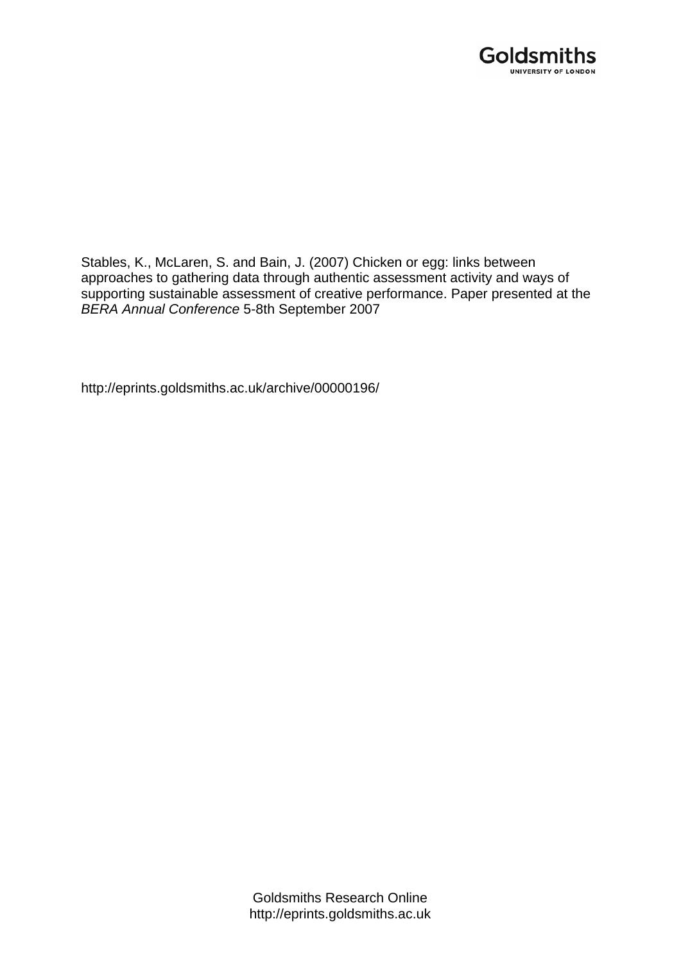

Stables, K., McLaren, S. and Bain, J. (2007) Chicken or egg: links between approaches to gathering data through authentic assessment activity and ways of supporting sustainable assessment of creative performance. Paper presented at the *BERA Annual Conference* 5-8th September 2007

http://eprints.goldsmiths.ac.uk/archive/00000196/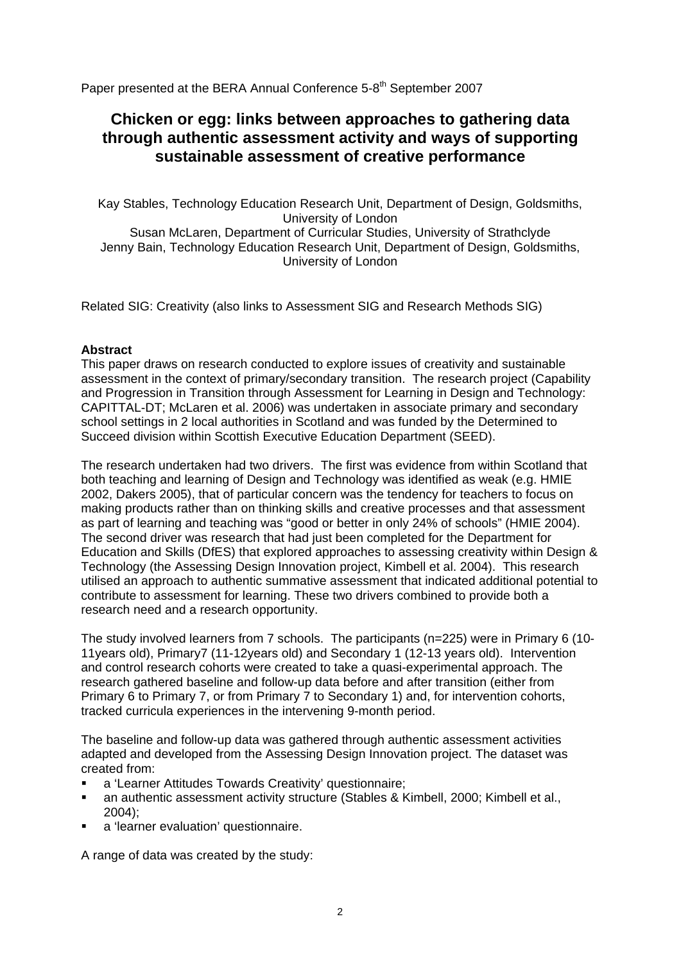Paper presented at the BERA Annual Conference 5-8<sup>th</sup> September 2007

# **Chicken or egg: links between approaches to gathering data through authentic assessment activity and ways of supporting sustainable assessment of creative performance**

Kay Stables, Technology Education Research Unit, Department of Design, Goldsmiths, University of London

Susan McLaren, Department of Curricular Studies, University of Strathclyde Jenny Bain, Technology Education Research Unit, Department of Design, Goldsmiths, University of London

Related SIG: Creativity (also links to Assessment SIG and Research Methods SIG)

# **Abstract**

This paper draws on research conducted to explore issues of creativity and sustainable assessment in the context of primary/secondary transition. The research project (Capability and Progression in Transition through Assessment for Learning in Design and Technology: CAPITTAL-DT; McLaren et al. 2006) was undertaken in associate primary and secondary school settings in 2 local authorities in Scotland and was funded by the Determined to Succeed division within Scottish Executive Education Department (SEED).

The research undertaken had two drivers. The first was evidence from within Scotland that both teaching and learning of Design and Technology was identified as weak (e.g. HMIE 2002, Dakers 2005), that of particular concern was the tendency for teachers to focus on making products rather than on thinking skills and creative processes and that assessment as part of learning and teaching was "good or better in only 24% of schools" (HMIE 2004). The second driver was research that had just been completed for the Department for Education and Skills (DfES) that explored approaches to assessing creativity within Design & Technology (the Assessing Design Innovation project, Kimbell et al. 2004). This research utilised an approach to authentic summative assessment that indicated additional potential to contribute to assessment for learning. These two drivers combined to provide both a research need and a research opportunity.

The study involved learners from 7 schools. The participants (n=225) were in Primary 6 (10- 11years old), Primary7 (11-12years old) and Secondary 1 (12-13 years old). Intervention and control research cohorts were created to take a quasi-experimental approach. The research gathered baseline and follow-up data before and after transition (either from Primary 6 to Primary 7, or from Primary 7 to Secondary 1) and, for intervention cohorts, tracked curricula experiences in the intervening 9-month period.

The baseline and follow-up data was gathered through authentic assessment activities adapted and developed from the Assessing Design Innovation project. The dataset was created from:

- a 'Learner Attitudes Towards Creativity' questionnaire;
- an authentic assessment activity structure (Stables & Kimbell, 2000; Kimbell et al.,  $2004$
- a 'learner evaluation' questionnaire.

A range of data was created by the study: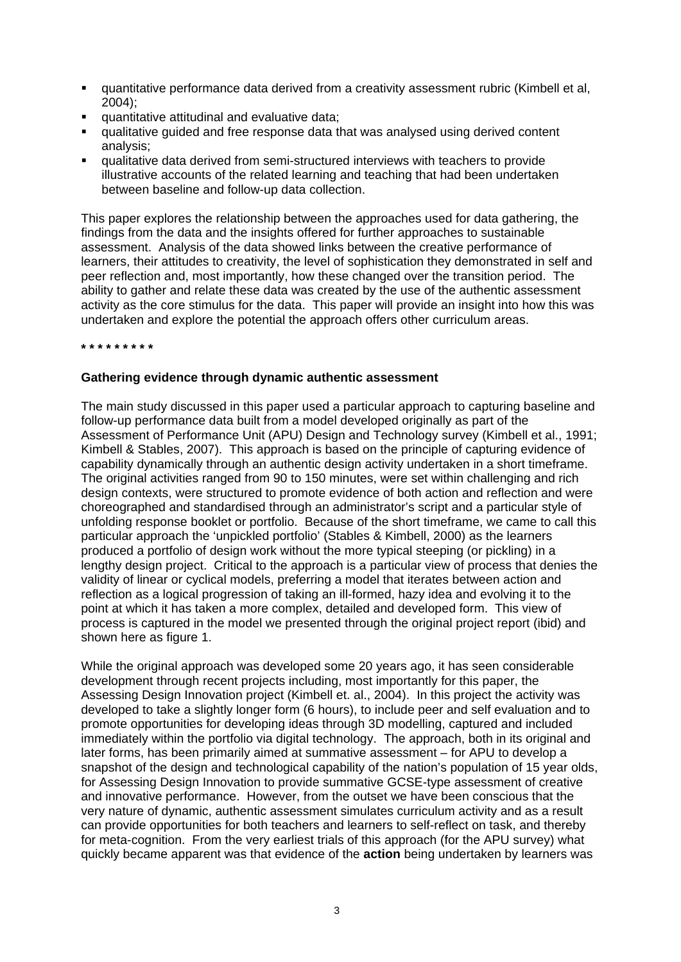- quantitative performance data derived from a creativity assessment rubric (Kimbell et al, 2004);
- quantitative attitudinal and evaluative data;
- qualitative guided and free response data that was analysed using derived content analysis;
- qualitative data derived from semi-structured interviews with teachers to provide illustrative accounts of the related learning and teaching that had been undertaken between baseline and follow-up data collection.

This paper explores the relationship between the approaches used for data gathering, the findings from the data and the insights offered for further approaches to sustainable assessment. Analysis of the data showed links between the creative performance of learners, their attitudes to creativity, the level of sophistication they demonstrated in self and peer reflection and, most importantly, how these changed over the transition period. The ability to gather and relate these data was created by the use of the authentic assessment activity as the core stimulus for the data. This paper will provide an insight into how this was undertaken and explore the potential the approach offers other curriculum areas.

**\* \* \* \* \* \* \* \* \*** 

# **Gathering evidence through dynamic authentic assessment**

The main study discussed in this paper used a particular approach to capturing baseline and follow-up performance data built from a model developed originally as part of the Assessment of Performance Unit (APU) Design and Technology survey (Kimbell et al., 1991; Kimbell & Stables, 2007). This approach is based on the principle of capturing evidence of capability dynamically through an authentic design activity undertaken in a short timeframe. The original activities ranged from 90 to 150 minutes, were set within challenging and rich design contexts, were structured to promote evidence of both action and reflection and were choreographed and standardised through an administrator's script and a particular style of unfolding response booklet or portfolio. Because of the short timeframe, we came to call this particular approach the 'unpickled portfolio' (Stables & Kimbell, 2000) as the learners produced a portfolio of design work without the more typical steeping (or pickling) in a lengthy design project. Critical to the approach is a particular view of process that denies the validity of linear or cyclical models, preferring a model that iterates between action and reflection as a logical progression of taking an ill-formed, hazy idea and evolving it to the point at which it has taken a more complex, detailed and developed form. This view of process is captured in the model we presented through the original project report (ibid) and shown here as figure 1.

While the original approach was developed some 20 years ago, it has seen considerable development through recent projects including, most importantly for this paper, the Assessing Design Innovation project (Kimbell et. al., 2004). In this project the activity was developed to take a slightly longer form (6 hours), to include peer and self evaluation and to promote opportunities for developing ideas through 3D modelling, captured and included immediately within the portfolio via digital technology. The approach, both in its original and later forms, has been primarily aimed at summative assessment – for APU to develop a snapshot of the design and technological capability of the nation's population of 15 year olds, for Assessing Design Innovation to provide summative GCSE-type assessment of creative and innovative performance. However, from the outset we have been conscious that the very nature of dynamic, authentic assessment simulates curriculum activity and as a result can provide opportunities for both teachers and learners to self-reflect on task, and thereby for meta-cognition. From the very earliest trials of this approach (for the APU survey) what quickly became apparent was that evidence of the **action** being undertaken by learners was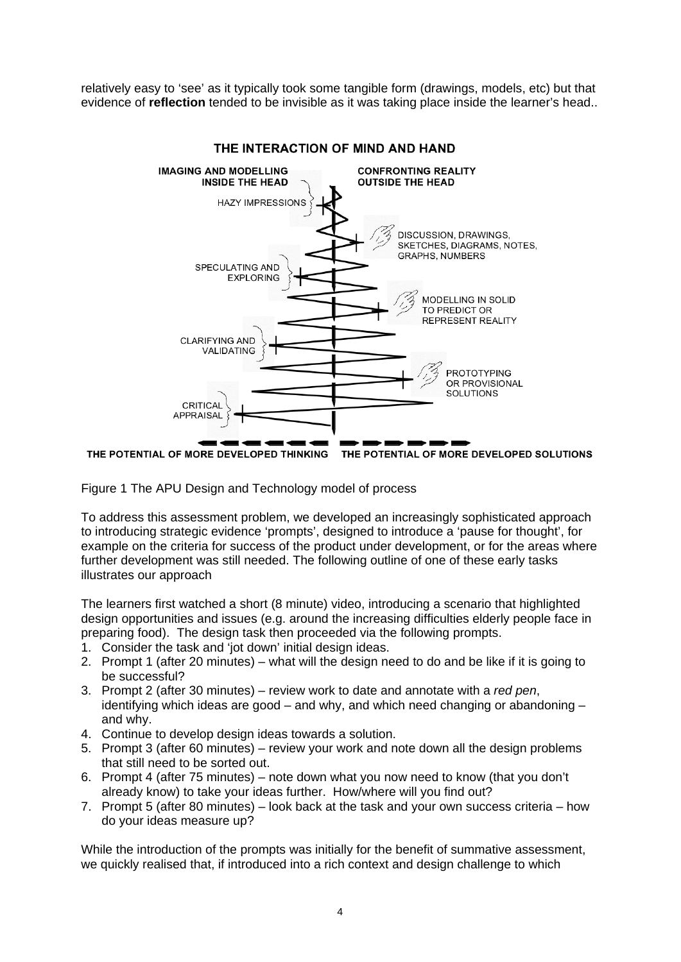relatively easy to 'see' as it typically took some tangible form (drawings, models, etc) but that evidence of **reflection** tended to be invisible as it was taking place inside the learner's head..



THE INTERACTION OF MIND AND HAND

THE POTENTIAL OF MORE DEVELOPED THINKING THE POTENTIAL OF MORE DEVELOPED SOLUTIONS

Figure 1 The APU Design and Technology model of process

To address this assessment problem, we developed an increasingly sophisticated approach to introducing strategic evidence 'prompts', designed to introduce a 'pause for thought', for example on the criteria for success of the product under development, or for the areas where further development was still needed. The following outline of one of these early tasks illustrates our approach

The learners first watched a short (8 minute) video, introducing a scenario that highlighted design opportunities and issues (e.g. around the increasing difficulties elderly people face in preparing food). The design task then proceeded via the following prompts.

- 1. Consider the task and 'iot down' initial design ideas.
- 2. Prompt 1 (after 20 minutes) what will the design need to do and be like if it is going to be successful?
- 3. Prompt 2 (after 30 minutes) review work to date and annotate with a *red pen*, identifying which ideas are good  $-$  and why, and which need changing or abandoning  $$ and why.
- 4. Continue to develop design ideas towards a solution.
- 5. Prompt 3 (after 60 minutes) review your work and note down all the design problems that still need to be sorted out.
- 6. Prompt 4 (after 75 minutes) note down what you now need to know (that you don't already know) to take your ideas further. How/where will you find out?
- 7. Prompt 5 (after 80 minutes) look back at the task and your own success criteria how do your ideas measure up?

While the introduction of the prompts was initially for the benefit of summative assessment, we quickly realised that, if introduced into a rich context and design challenge to which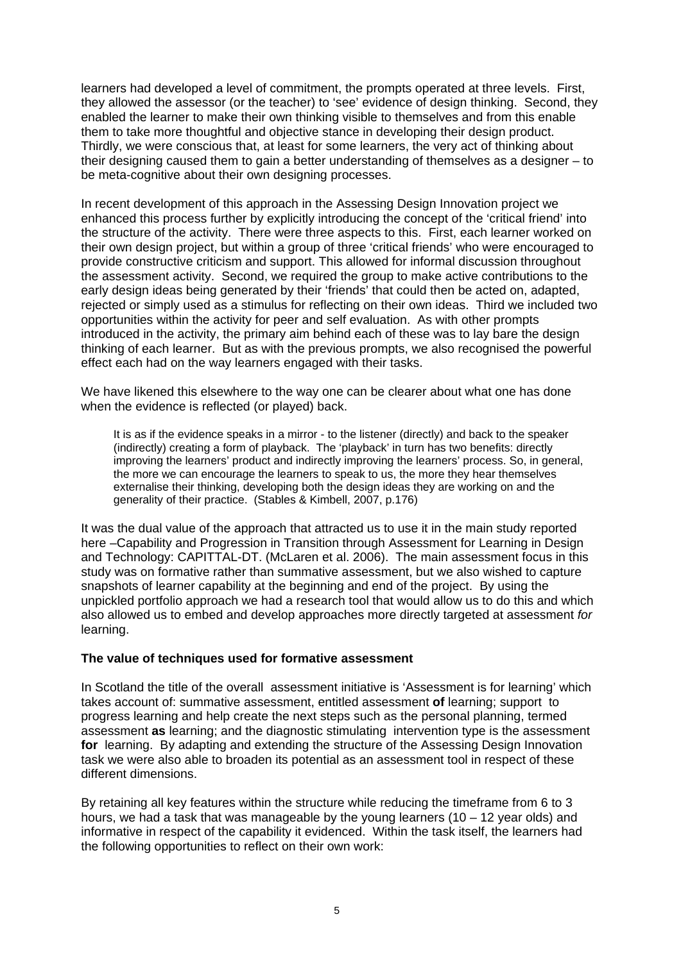learners had developed a level of commitment, the prompts operated at three levels. First, they allowed the assessor (or the teacher) to 'see' evidence of design thinking. Second, they enabled the learner to make their own thinking visible to themselves and from this enable them to take more thoughtful and objective stance in developing their design product. Thirdly, we were conscious that, at least for some learners, the very act of thinking about their designing caused them to gain a better understanding of themselves as a designer – to be meta-cognitive about their own designing processes.

In recent development of this approach in the Assessing Design Innovation project we enhanced this process further by explicitly introducing the concept of the 'critical friend' into the structure of the activity. There were three aspects to this. First, each learner worked on their own design project, but within a group of three 'critical friends' who were encouraged to provide constructive criticism and support. This allowed for informal discussion throughout the assessment activity. Second, we required the group to make active contributions to the early design ideas being generated by their 'friends' that could then be acted on, adapted, rejected or simply used as a stimulus for reflecting on their own ideas. Third we included two opportunities within the activity for peer and self evaluation. As with other prompts introduced in the activity, the primary aim behind each of these was to lay bare the design thinking of each learner. But as with the previous prompts, we also recognised the powerful effect each had on the way learners engaged with their tasks.

We have likened this elsewhere to the way one can be clearer about what one has done when the evidence is reflected (or played) back.

It is as if the evidence speaks in a mirror - to the listener (directly) and back to the speaker (indirectly) creating a form of playback. The 'playback' in turn has two benefits: directly improving the learners' product and indirectly improving the learners' process. So, in general, the more we can encourage the learners to speak to us, the more they hear themselves externalise their thinking, developing both the design ideas they are working on and the generality of their practice. (Stables & Kimbell, 2007, p.176)

It was the dual value of the approach that attracted us to use it in the main study reported here –Capability and Progression in Transition through Assessment for Learning in Design and Technology: CAPITTAL-DT. (McLaren et al. 2006). The main assessment focus in this study was on formative rather than summative assessment, but we also wished to capture snapshots of learner capability at the beginning and end of the project. By using the unpickled portfolio approach we had a research tool that would allow us to do this and which also allowed us to embed and develop approaches more directly targeted at assessment *for* learning.

### **The value of techniques used for formative assessment**

In Scotland the title of the overall assessment initiative is 'Assessment is for learning' which takes account of: summative assessment, entitled assessment **of** learning; support to progress learning and help create the next steps such as the personal planning, termed assessment **as** learning; and the diagnostic stimulating intervention type is the assessment **for** learning. By adapting and extending the structure of the Assessing Design Innovation task we were also able to broaden its potential as an assessment tool in respect of these different dimensions.

By retaining all key features within the structure while reducing the timeframe from 6 to 3 hours, we had a task that was manageable by the young learners (10 – 12 year olds) and informative in respect of the capability it evidenced. Within the task itself, the learners had the following opportunities to reflect on their own work: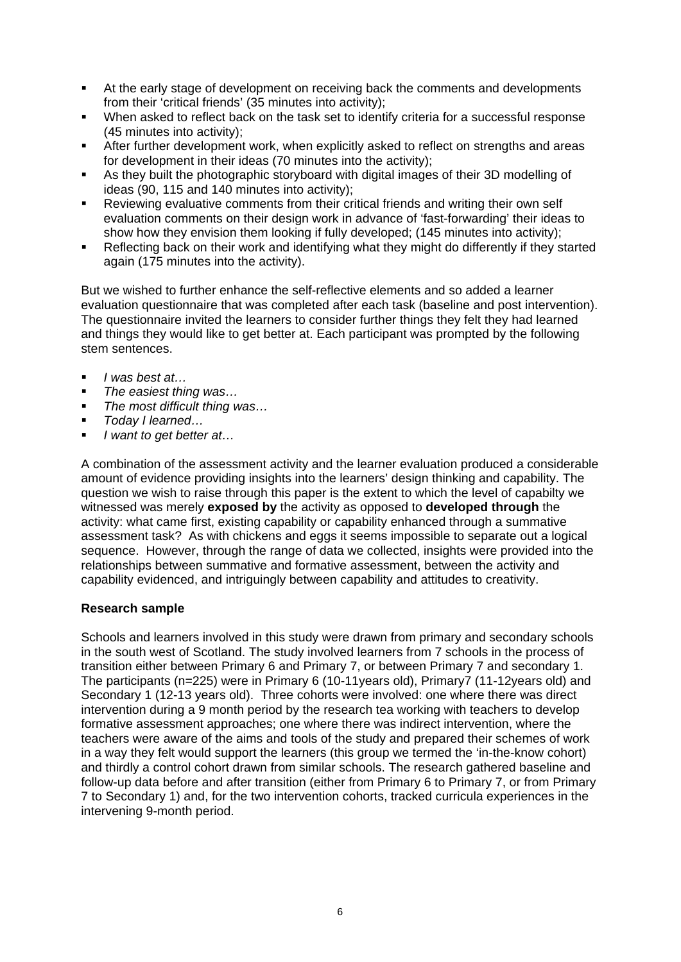- At the early stage of development on receiving back the comments and developments from their 'critical friends' (35 minutes into activity);
- When asked to reflect back on the task set to identify criteria for a successful response (45 minutes into activity);
- **After further development work, when explicitly asked to reflect on strengths and areas** for development in their ideas (70 minutes into the activity);
- As they built the photographic storyboard with digital images of their 3D modelling of ideas (90, 115 and 140 minutes into activity);
- Reviewing evaluative comments from their critical friends and writing their own self evaluation comments on their design work in advance of 'fast-forwarding' their ideas to show how they envision them looking if fully developed; (145 minutes into activity);
- Reflecting back on their work and identifying what they might do differently if they started again (175 minutes into the activity).

But we wished to further enhance the self-reflective elements and so added a learner evaluation questionnaire that was completed after each task (baseline and post intervention). The questionnaire invited the learners to consider further things they felt they had learned and things they would like to get better at. Each participant was prompted by the following stem sentences.

- *I was best at…*
- *The easiest thing was…*
- *The most difficult thing was…*
- *Today I learned…*
- *I want to get better at…*

A combination of the assessment activity and the learner evaluation produced a considerable amount of evidence providing insights into the learners' design thinking and capability. The question we wish to raise through this paper is the extent to which the level of capabilty we witnessed was merely **exposed by** the activity as opposed to **developed through** the activity: what came first, existing capability or capability enhanced through a summative assessment task? As with chickens and eggs it seems impossible to separate out a logical sequence. However, through the range of data we collected, insights were provided into the relationships between summative and formative assessment, between the activity and capability evidenced, and intriguingly between capability and attitudes to creativity.

# **Research sample**

Schools and learners involved in this study were drawn from primary and secondary schools in the south west of Scotland. The study involved learners from 7 schools in the process of transition either between Primary 6 and Primary 7, or between Primary 7 and secondary 1. The participants (n=225) were in Primary 6 (10-11years old), Primary7 (11-12years old) and Secondary 1 (12-13 years old). Three cohorts were involved: one where there was direct intervention during a 9 month period by the research tea working with teachers to develop formative assessment approaches; one where there was indirect intervention, where the teachers were aware of the aims and tools of the study and prepared their schemes of work in a way they felt would support the learners (this group we termed the 'in-the-know cohort) and thirdly a control cohort drawn from similar schools. The research gathered baseline and follow-up data before and after transition (either from Primary 6 to Primary 7, or from Primary 7 to Secondary 1) and, for the two intervention cohorts, tracked curricula experiences in the intervening 9-month period.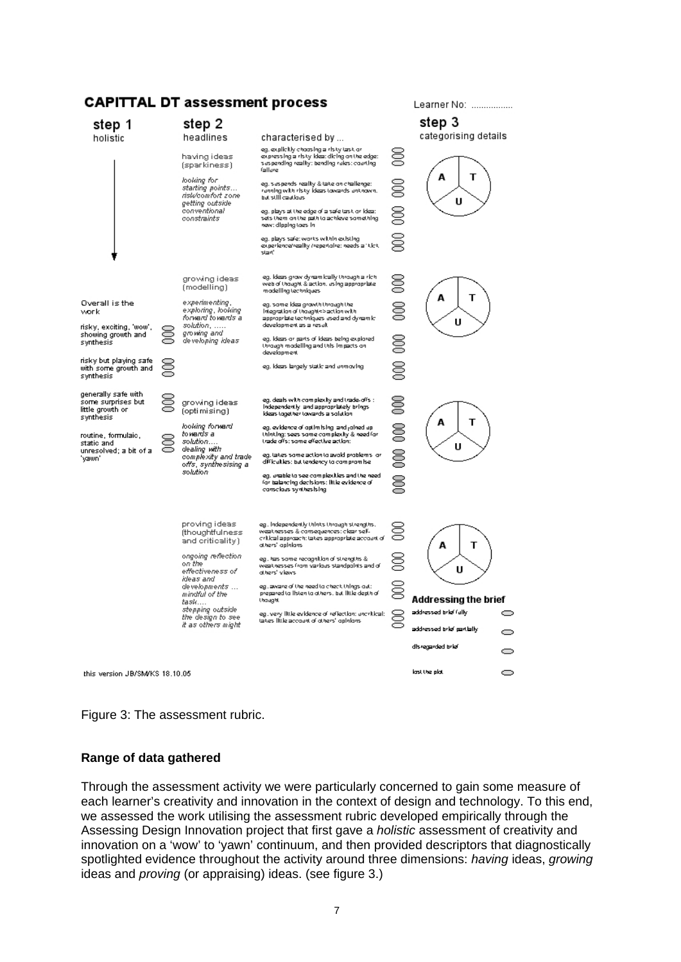# **CAPITTAL DT assessment process**



Learner No: .................

#### Figure 3: The assessment rubric.

#### **Range of data gathered**

Through the assessment activity we were particularly concerned to gain some measure of each learner's creativity and innovation in the context of design and technology. To this end, we assessed the work utilising the assessment rubric developed empirically through the Assessing Design Innovation project that first gave a *holistic* assessment of creativity and innovation on a 'wow' to 'yawn' continuum, and then provided descriptors that diagnostically spotlighted evidence throughout the activity around three dimensions: *having* ideas, *growing* ideas and *proving* (or appraising) ideas. (see figure 3.)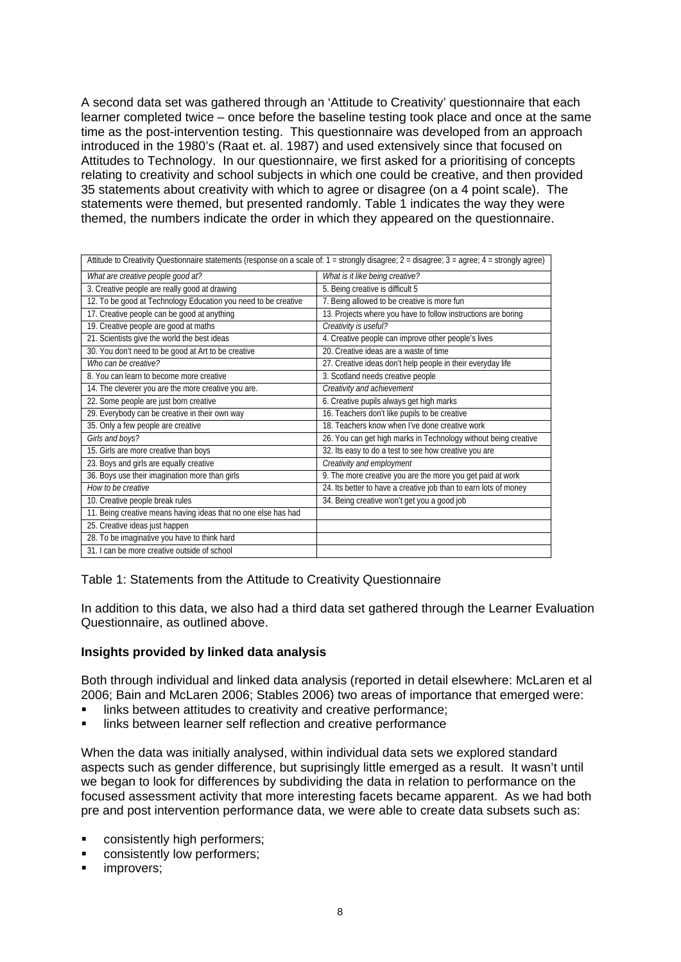A second data set was gathered through an 'Attitude to Creativity' questionnaire that each learner completed twice – once before the baseline testing took place and once at the same time as the post-intervention testing. This questionnaire was developed from an approach introduced in the 1980's (Raat et. al. 1987) and used extensively since that focused on Attitudes to Technology. In our questionnaire, we first asked for a prioritising of concepts relating to creativity and school subjects in which one could be creative, and then provided 35 statements about creativity with which to agree or disagree (on a 4 point scale). The statements were themed, but presented randomly. Table 1 indicates the way they were themed, the numbers indicate the order in which they appeared on the questionnaire.

| Attitude to Creativity Questionnaire statements (response on a scale of: 1 = strongly disagree; 2 = disagree; 3 = agree; 4 = strongly agree) |                                                                  |
|----------------------------------------------------------------------------------------------------------------------------------------------|------------------------------------------------------------------|
| What are creative people good at?                                                                                                            | What is it like being creative?                                  |
| 3. Creative people are really good at drawing                                                                                                | 5. Being creative is difficult 5                                 |
| 12. To be good at Technology Education you need to be creative                                                                               | 7. Being allowed to be creative is more fun                      |
| 17. Creative people can be good at anything                                                                                                  | 13. Projects where you have to follow instructions are boring    |
| 19. Creative people are good at maths                                                                                                        | Creativity is useful?                                            |
| 21. Scientists give the world the best ideas                                                                                                 | 4. Creative people can improve other people's lives              |
| 30. You don't need to be good at Art to be creative                                                                                          | 20. Creative ideas are a waste of time                           |
| Who can be creative?                                                                                                                         | 27. Creative ideas don't help people in their everyday life      |
| 8. You can learn to become more creative                                                                                                     | 3. Scotland needs creative people                                |
| 14. The cleverer you are the more creative you are.                                                                                          | Creativity and achievement                                       |
| 22. Some people are just born creative                                                                                                       | 6. Creative pupils always get high marks                         |
| 29. Everybody can be creative in their own way                                                                                               | 16. Teachers don't like pupils to be creative                    |
| 35. Only a few people are creative                                                                                                           | 18. Teachers know when I've done creative work                   |
| Girls and boys?                                                                                                                              | 26. You can get high marks in Technology without being creative  |
| 15. Girls are more creative than boys                                                                                                        | 32. Its easy to do a test to see how creative you are            |
| 23. Boys and girls are equally creative                                                                                                      | Creativity and employment                                        |
| 36. Boys use their imagination more than girls                                                                                               | 9. The more creative you are the more you get paid at work       |
| How to be creative                                                                                                                           | 24. Its better to have a creative job than to earn lots of money |
| 10. Creative people break rules                                                                                                              | 34. Being creative won't get you a good job                      |
| 11. Being creative means having ideas that no one else has had                                                                               |                                                                  |
| 25. Creative ideas just happen                                                                                                               |                                                                  |
| 28. To be imaginative you have to think hard                                                                                                 |                                                                  |
| 31. I can be more creative outside of school                                                                                                 |                                                                  |

Table 1: Statements from the Attitude to Creativity Questionnaire

In addition to this data, we also had a third data set gathered through the Learner Evaluation Questionnaire, as outlined above.

### **Insights provided by linked data analysis**

Both through individual and linked data analysis (reported in detail elsewhere: McLaren et al 2006; Bain and McLaren 2006; Stables 2006) two areas of importance that emerged were:

- links between attitudes to creativity and creative performance;
- **Inks between learner self reflection and creative performance**

When the data was initially analysed, within individual data sets we explored standard aspects such as gender difference, but suprisingly little emerged as a result. It wasn't until we began to look for differences by subdividing the data in relation to performance on the focused assessment activity that more interesting facets became apparent. As we had both pre and post intervention performance data, we were able to create data subsets such as:

- consistently high performers;
- consistently low performers;
- improvers;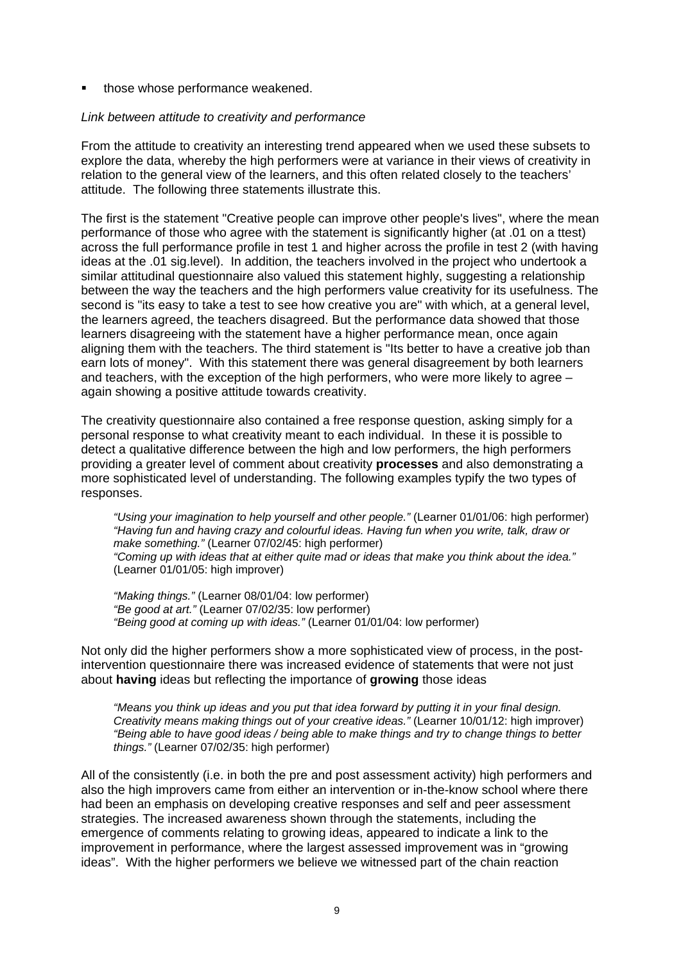those whose performance weakened.

### *Link between attitude to creativity and performance*

From the attitude to creativity an interesting trend appeared when we used these subsets to explore the data, whereby the high performers were at variance in their views of creativity in relation to the general view of the learners, and this often related closely to the teachers' attitude. The following three statements illustrate this.

The first is the statement "Creative people can improve other people's lives", where the mean performance of those who agree with the statement is significantly higher (at .01 on a ttest) across the full performance profile in test 1 and higher across the profile in test 2 (with having ideas at the .01 sig.level). In addition, the teachers involved in the project who undertook a similar attitudinal questionnaire also valued this statement highly, suggesting a relationship between the way the teachers and the high performers value creativity for its usefulness. The second is "its easy to take a test to see how creative you are" with which, at a general level, the learners agreed, the teachers disagreed. But the performance data showed that those learners disagreeing with the statement have a higher performance mean, once again aligning them with the teachers. The third statement is "Its better to have a creative job than earn lots of money". With this statement there was general disagreement by both learners and teachers, with the exception of the high performers, who were more likely to agree – again showing a positive attitude towards creativity.

The creativity questionnaire also contained a free response question, asking simply for a personal response to what creativity meant to each individual. In these it is possible to detect a qualitative difference between the high and low performers, the high performers providing a greater level of comment about creativity **processes** and also demonstrating a more sophisticated level of understanding. The following examples typify the two types of responses.

*"Using your imagination to help yourself and other people."* (Learner 01/01/06: high performer) *"Having fun and having crazy and colourful ideas. Having fun when you write, talk, draw or make something."* (Learner 07/02/45: high performer) *"Coming up with ideas that at either quite mad or ideas that make you think about the idea."* (Learner 01/01/05: high improver)

*"Making things."* (Learner 08/01/04: low performer) *"Be good at art."* (Learner 07/02/35: low performer) *"Being good at coming up with ideas."* (Learner 01/01/04: low performer)

Not only did the higher performers show a more sophisticated view of process, in the postintervention questionnaire there was increased evidence of statements that were not just about **having** ideas but reflecting the importance of **growing** those ideas

*"Means you think up ideas and you put that idea forward by putting it in your final design. Creativity means making things out of your creative ideas."* (Learner 10/01/12: high improver) *"Being able to have good ideas / being able to make things and try to change things to better things."* (Learner 07/02/35: high performer)

All of the consistently (i.e. in both the pre and post assessment activity) high performers and also the high improvers came from either an intervention or in-the-know school where there had been an emphasis on developing creative responses and self and peer assessment strategies. The increased awareness shown through the statements, including the emergence of comments relating to growing ideas, appeared to indicate a link to the improvement in performance, where the largest assessed improvement was in "growing ideas". With the higher performers we believe we witnessed part of the chain reaction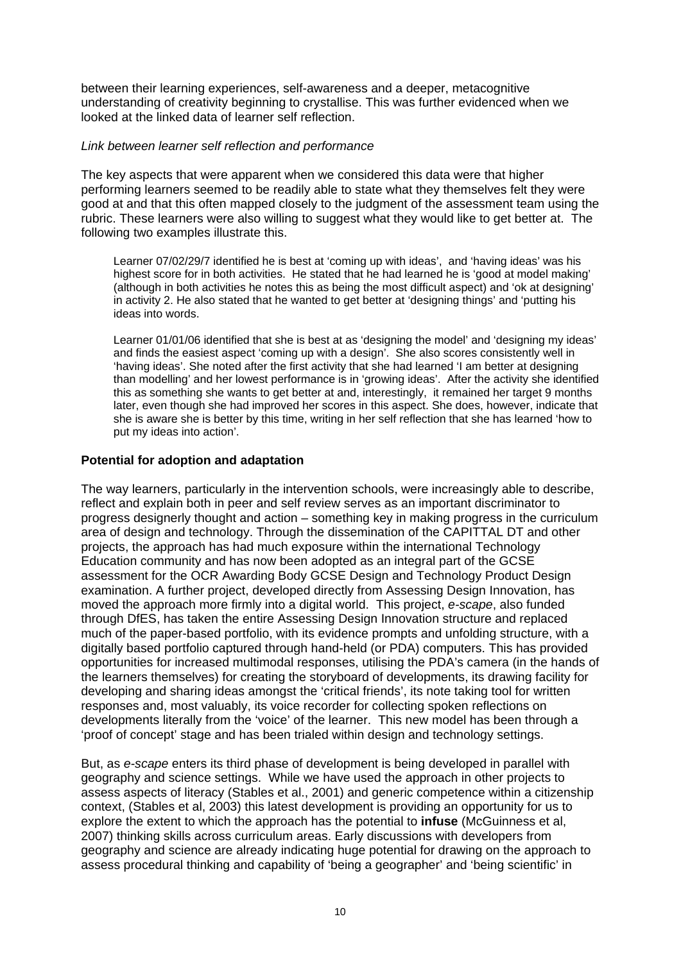between their learning experiences, self-awareness and a deeper, metacognitive understanding of creativity beginning to crystallise. This was further evidenced when we looked at the linked data of learner self reflection.

### *Link between learner self reflection and performance*

The key aspects that were apparent when we considered this data were that higher performing learners seemed to be readily able to state what they themselves felt they were good at and that this often mapped closely to the judgment of the assessment team using the rubric. These learners were also willing to suggest what they would like to get better at. The following two examples illustrate this.

Learner 07/02/29/7 identified he is best at 'coming up with ideas', and 'having ideas' was his highest score for in both activities. He stated that he had learned he is 'good at model making' (although in both activities he notes this as being the most difficult aspect) and 'ok at designing' in activity 2. He also stated that he wanted to get better at 'designing things' and 'putting his ideas into words.

Learner 01/01/06 identified that she is best at as 'designing the model' and 'designing my ideas' and finds the easiest aspect 'coming up with a design'. She also scores consistently well in 'having ideas'. She noted after the first activity that she had learned 'I am better at designing than modelling' and her lowest performance is in 'growing ideas'. After the activity she identified this as something she wants to get better at and, interestingly, it remained her target 9 months later, even though she had improved her scores in this aspect. She does, however, indicate that she is aware she is better by this time, writing in her self reflection that she has learned 'how to put my ideas into action'.

# **Potential for adoption and adaptation**

The way learners, particularly in the intervention schools, were increasingly able to describe, reflect and explain both in peer and self review serves as an important discriminator to progress designerly thought and action – something key in making progress in the curriculum area of design and technology. Through the dissemination of the CAPITTAL DT and other projects, the approach has had much exposure within the international Technology Education community and has now been adopted as an integral part of the GCSE assessment for the OCR Awarding Body GCSE Design and Technology Product Design examination. A further project, developed directly from Assessing Design Innovation, has moved the approach more firmly into a digital world. This project, *e-scape*, also funded through DfES, has taken the entire Assessing Design Innovation structure and replaced much of the paper-based portfolio, with its evidence prompts and unfolding structure, with a digitally based portfolio captured through hand-held (or PDA) computers. This has provided opportunities for increased multimodal responses, utilising the PDA's camera (in the hands of the learners themselves) for creating the storyboard of developments, its drawing facility for developing and sharing ideas amongst the 'critical friends', its note taking tool for written responses and, most valuably, its voice recorder for collecting spoken reflections on developments literally from the 'voice' of the learner. This new model has been through a 'proof of concept' stage and has been trialed within design and technology settings.

But, as *e-scape* enters its third phase of development is being developed in parallel with geography and science settings. While we have used the approach in other projects to assess aspects of literacy (Stables et al., 2001) and generic competence within a citizenship context, (Stables et al, 2003) this latest development is providing an opportunity for us to explore the extent to which the approach has the potential to **infuse** (McGuinness et al, 2007) thinking skills across curriculum areas. Early discussions with developers from geography and science are already indicating huge potential for drawing on the approach to assess procedural thinking and capability of 'being a geographer' and 'being scientific' in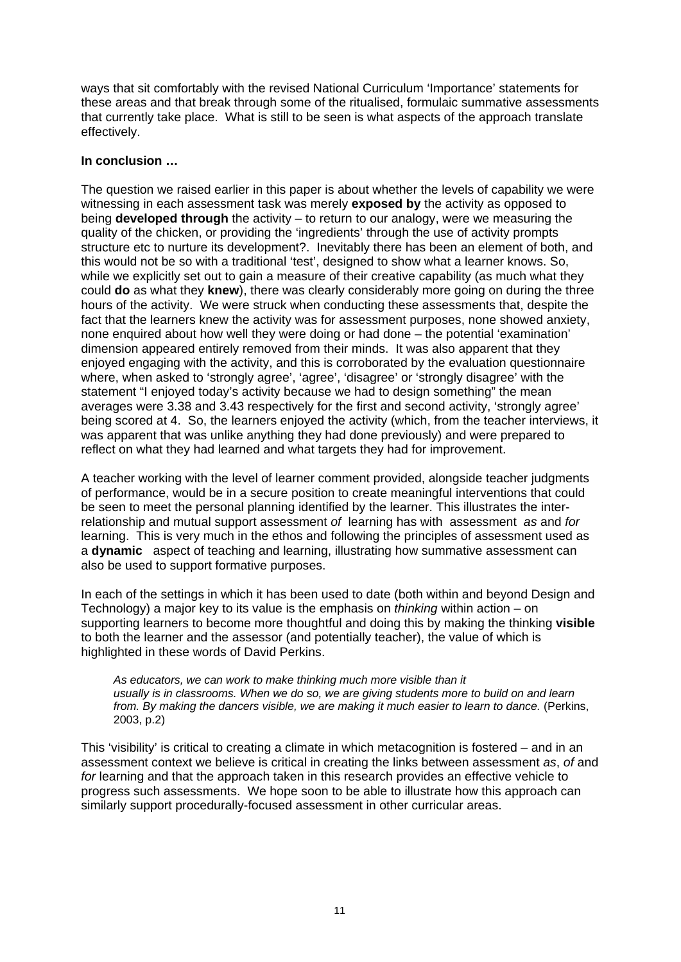ways that sit comfortably with the revised National Curriculum 'Importance' statements for these areas and that break through some of the ritualised, formulaic summative assessments that currently take place. What is still to be seen is what aspects of the approach translate effectively.

# **In conclusion …**

The question we raised earlier in this paper is about whether the levels of capability we were witnessing in each assessment task was merely **exposed by** the activity as opposed to being **developed through** the activity – to return to our analogy, were we measuring the quality of the chicken, or providing the 'ingredients' through the use of activity prompts structure etc to nurture its development?. Inevitably there has been an element of both, and this would not be so with a traditional 'test', designed to show what a learner knows. So, while we explicitly set out to gain a measure of their creative capability (as much what they could **do** as what they **knew**), there was clearly considerably more going on during the three hours of the activity. We were struck when conducting these assessments that, despite the fact that the learners knew the activity was for assessment purposes, none showed anxiety, none enquired about how well they were doing or had done – the potential 'examination' dimension appeared entirely removed from their minds. It was also apparent that they enjoyed engaging with the activity, and this is corroborated by the evaluation questionnaire where, when asked to 'strongly agree', 'agree', 'disagree' or 'strongly disagree' with the statement "I enjoyed today's activity because we had to design something" the mean averages were 3.38 and 3.43 respectively for the first and second activity, 'strongly agree' being scored at 4. So, the learners enjoyed the activity (which, from the teacher interviews, it was apparent that was unlike anything they had done previously) and were prepared to reflect on what they had learned and what targets they had for improvement.

A teacher working with the level of learner comment provided, alongside teacher judgments of performance, would be in a secure position to create meaningful interventions that could be seen to meet the personal planning identified by the learner. This illustrates the interrelationship and mutual support assessment *of* learning has with assessment *as* and *for*  learning. This is very much in the ethos and following the principles of assessment used as a **dynamic** aspect of teaching and learning, illustrating how summative assessment can also be used to support formative purposes.

In each of the settings in which it has been used to date (both within and beyond Design and Technology) a major key to its value is the emphasis on *thinking* within action – on supporting learners to become more thoughtful and doing this by making the thinking **visible** to both the learner and the assessor (and potentially teacher), the value of which is highlighted in these words of David Perkins.

*As educators, we can work to make thinking much more visible than it usually is in classrooms. When we do so, we are giving students more to build on and learn from. By making the dancers visible, we are making it much easier to learn to dance.* (Perkins, 2003, p.2)

This 'visibility' is critical to creating a climate in which metacognition is fostered – and in an assessment context we believe is critical in creating the links between assessment *as*, *of* and *for* learning and that the approach taken in this research provides an effective vehicle to progress such assessments. We hope soon to be able to illustrate how this approach can similarly support procedurally-focused assessment in other curricular areas.